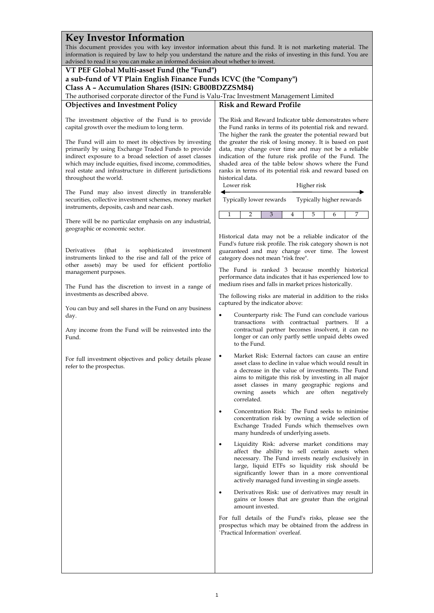#### **Key Investor Information** This document provides you with key investor information about this fund. It is not marketing material. The information is required by law to help you understand the nature and the risks of investing in this fund. You are advised to read it so you can make an informed decision about whether to invest. **VT PEF Global Multi-asset Fund (the "Fund") a sub-fund of VT Plain English Finance Funds ICVC (the "Company") Class A – Accumulation Shares (ISIN: GB00BDZZSM84)** The authorised corporate director of the Fund is Valu-Trac Investment Management Limited **Objectives and Investment Policy** The investment objective of the Fund is to provide capital growth over the medium to long term. The Fund will aim to meet its objectives by investing primarily by using Exchange Traded Funds to provide indirect exposure to a broad selection of asset classes which may include equities, fixed income, commodities, real estate and infrastructure in different jurisdictions throughout the world. The Fund may also invest directly in transferable securities, collective investment schemes, money market instruments, deposits, cash and near cash. There will be no particular emphasis on any industrial, geographic or economic sector. Derivatives (that is sophisticated investment instruments linked to the rise and fall of the price of other assets) may be used for efficient portfolio management purposes. The Fund has the discretion to invest in a range of investments as described above. You can buy and sell shares in the Fund on any business day. Any income from the Fund will be reinvested into the Fund. For full investment objectives and policy details please refer to the prospectus. **Risk and Reward Profile** The Risk and Reward Indicator table demonstrates where the Fund ranks in terms of its potential risk and reward. The higher the rank the greater the potential reward but the greater the risk of losing money. It is based on past data, may change over time and may not be a reliable indication of the future risk profile of the Fund. The shaded area of the table below shows where the Fund ranks in terms of its potential risk and reward based on historical data. Lower risk ۱ Typically lower rewards Higher risk j Typically higher rewards 1 2 3 4 5 6 7 Historical data may not be a reliable indicator of the Fund's future risk profile. The risk category shown is not guaranteed and may change over time. The lowest category does not mean "risk free". The Fund is ranked 3 because monthly historical performance data indicates that it has experienced low to medium rises and falls in market prices historically. The following risks are material in addition to the risks captured by the indicator above: • Counterparty risk: The Fund can conclude various transactions with contractual partners. If a contractual partner becomes insolvent, it can no longer or can only partly settle unpaid debts owed to the Fund. • Market Risk: External factors can cause an entire asset class to decline in value which would result in a decrease in the value of investments. The Fund aims to mitigate this risk by investing in all major asset classes in many geographic regions and owning assets which are often negatively correlated. • Concentration Risk: The Fund seeks to minimise concentration risk by owning a wide selection of Exchange Traded Funds which themselves own many hundreds of underlying assets. • Liquidity Risk: adverse market conditions may affect the ability to sell certain assets when necessary. The Fund invests nearly exclusively in large, liquid ETFs so liquidity risk should be significantly lower than in a more conventional actively managed fund investing in single assets. • Derivatives Risk: use of derivatives may result in gains or losses that are greater than the original amount invested. For full details of the Fund's risks, please see the prospectus which may be obtained from the address in `Practical Information` overleaf.